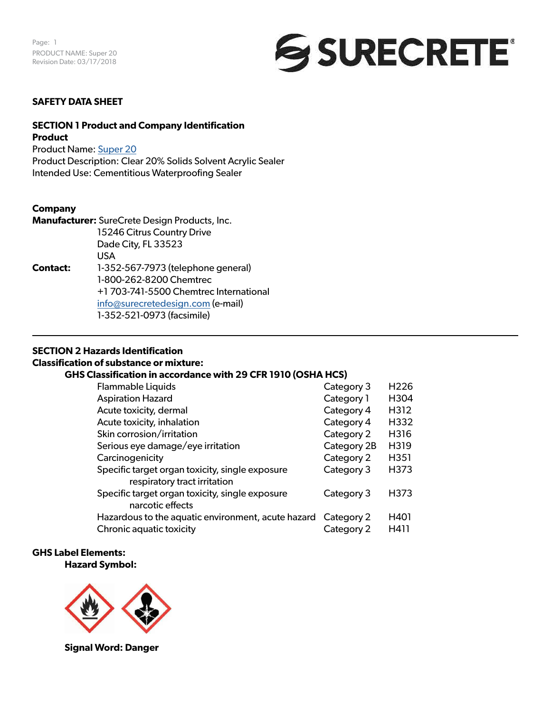

### **SAFETY DATA SHEET**

### **SECTION 1 Product and Company Identification Product**

Product Name: [Super 20](https://www.surecretedesign.com/product/exterior-concrete-clear-sealer)

Product Description: Clear 20% Solids Solvent Acrylic Sealer Intended Use: Cementitious Waterproofing Sealer

#### **Company**

|                 | Manufacturer: SureCrete Design Products, Inc. |
|-----------------|-----------------------------------------------|
|                 | 15246 Citrus Country Drive                    |
|                 | Dade City, FL 33523                           |
|                 | USA                                           |
| <b>Contact:</b> | 1-352-567-7973 (telephone general)            |
|                 | 1-800-262-8200 Chemtrec                       |
|                 | +1 703-741-5500 Chemtrec International        |
|                 | info@surecretedesign.com (e-mail)             |
|                 | 1-352-521-0973 (facsimile)                    |

### **SECTION 2 Hazards Identification**

### **Classification of substance or mixture:**

#### **GHS Classification in accordance with 29 CFR 1910 (OSHA HCS)**

| <b>Flammable Liquids</b>                                                        | Category 3  | H <sub>226</sub> |
|---------------------------------------------------------------------------------|-------------|------------------|
| <b>Aspiration Hazard</b>                                                        | Category 1  | H304             |
| Acute toxicity, dermal                                                          | Category 4  | H312             |
| Acute toxicity, inhalation                                                      | Category 4  | H332             |
| Skin corrosion/irritation                                                       | Category 2  | H316             |
| Serious eye damage/eye irritation                                               | Category 2B | H319             |
| Carcinogenicity                                                                 | Category 2  | H351             |
| Specific target organ toxicity, single exposure<br>respiratory tract irritation | Category 3  | H373             |
| Specific target organ toxicity, single exposure<br>narcotic effects             | Category 3  | H373             |
| Hazardous to the aquatic environment, acute hazard                              | Category 2  | H401             |
| Chronic aquatic toxicity                                                        | Category 2  | H411             |

#### **GHS Label Elements: Hazard Symbol:**



**Signal Word: Danger**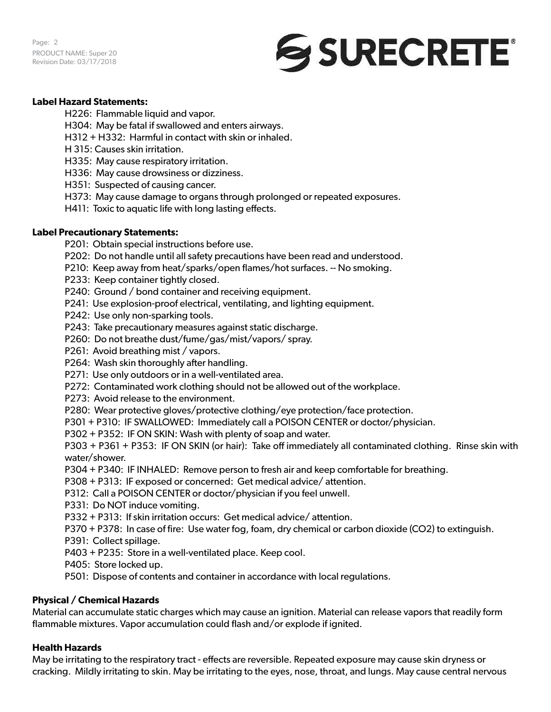Page: 2 PRODUCT NAME: Super 20 Revision Date: 03/17/2018



## **Label Hazard Statements:**

H226: Flammable liquid and vapor.

- H304: May be fatal if swallowed and enters airways.
- H312 + H332: Harmful in contact with skin or inhaled.
- H 315: Causes skin irritation.
- H335: May cause respiratory irritation.
- H336: May cause drowsiness or dizziness.
- H351: Suspected of causing cancer.
- H373: May cause damage to organs through prolonged or repeated exposures.
- H411: Toxic to aquatic life with long lasting effects.

### **Label Precautionary Statements:**

- P201: Obtain special instructions before use.
- P202: Do not handle until all safety precautions have been read and understood.
- P210: Keep away from heat/sparks/open flames/hot surfaces. -- No smoking.
- P233: Keep container tightly closed.
- P240: Ground / bond container and receiving equipment.
- P241: Use explosion-proof electrical, ventilating, and lighting equipment.
- P242: Use only non-sparking tools.
- P243: Take precautionary measures against static discharge.
- P260: Do not breathe dust/fume/gas/mist/vapors/ spray.
- P261: Avoid breathing mist / vapors.
- P264: Wash skin thoroughly after handling.
- P271: Use only outdoors or in a well-ventilated area.
- P272: Contaminated work clothing should not be allowed out of the workplace.
- P273: Avoid release to the environment.
- P280: Wear protective gloves/protective clothing/eye protection/face protection.
- P301 + P310: IF SWALLOWED: Immediately call a POISON CENTER or doctor/physician.
- P302 + P352: IF ON SKIN: Wash with plenty of soap and water.

P303 + P361 + P353: IF ON SKIN (or hair): Take off immediately all contaminated clothing. Rinse skin with water/shower.

- P304 + P340: IF INHALED: Remove person to fresh air and keep comfortable for breathing.
- P308 + P313: IF exposed or concerned: Get medical advice/ attention.
- P312: Call a POISON CENTER or doctor/physician if you feel unwell.
- P331: Do NOT induce vomiting.
- P332 + P313: If skin irritation occurs: Get medical advice/ attention.
- P370 + P378: In case of fire: Use water fog, foam, dry chemical or carbon dioxide (CO2) to extinguish.
- P391: Collect spillage.
- P403 + P235: Store in a well-ventilated place. Keep cool.
- P405: Store locked up.
- P501: Dispose of contents and container in accordance with local regulations.

### **Physical / Chemical Hazards**

Material can accumulate static charges which may cause an ignition. Material can release vapors that readily form flammable mixtures. Vapor accumulation could flash and/or explode if ignited.

### **Health Hazards**

May be irritating to the respiratory tract - effects are reversible. Repeated exposure may cause skin dryness or cracking. Mildly irritating to skin. May be irritating to the eyes, nose, throat, and lungs. May cause central nervous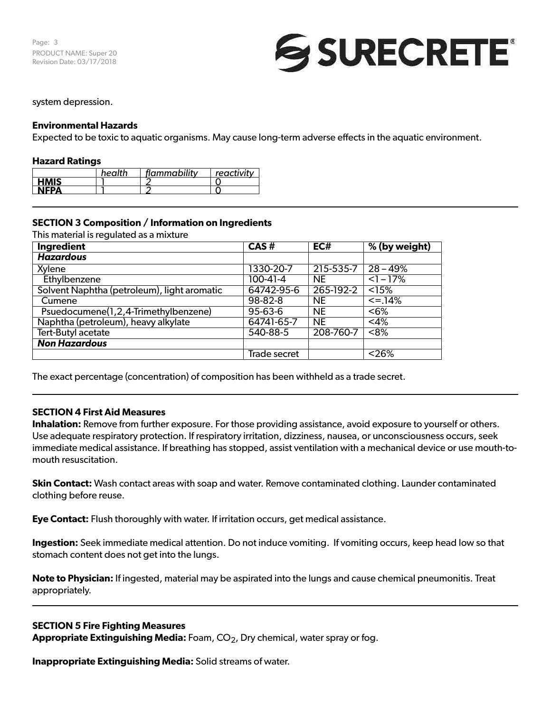

#### system depression.

### **Environmental Hazards**

Expected to be toxic to aquatic organisms. May cause long-term adverse effects in the aquatic environment.

#### **Hazard Ratings**

|             | health | flammability | $+$ reactivity $-$ |
|-------------|--------|--------------|--------------------|
| <b>HMIS</b> |        |              |                    |
| NEDA        |        |              |                    |

### **SECTION 3 Composition / Information on Ingredients**

This material is regulated as a mixture

| Ingredient                                  | CAS#           | EC#       | % (by weight)     |
|---------------------------------------------|----------------|-----------|-------------------|
| <b>Hazardous</b>                            |                |           |                   |
| Xylene                                      | 1330-20-7      | 215-535-7 | $28 - 49%$        |
| Ethylbenzene                                | $100 - 41 - 4$ | <b>NE</b> | $<1 - 17%$        |
| Solvent Naphtha (petroleum), light aromatic | 64742-95-6     | 265-192-2 | <15%              |
| Cumene                                      | $98 - 82 - 8$  | <b>NE</b> | $\leq$ =.14%      |
| Psuedocumene(1,2,4-Trimethylbenzene)        | 95-63-6        | <b>NE</b> | < 6%              |
| Naphtha (petroleum), heavy alkylate         | 64741-65-7     | <b>NE</b> | $<$ 4%            |
| Tert-Butyl acetate                          | 540-88-5       | 208-760-7 | $<8\%$            |
| <b>Non Hazardous</b>                        |                |           |                   |
|                                             | Trade secret   |           | $\overline{26\%}$ |

The exact percentage (concentration) of composition has been withheld as a trade secret.

### **SECTION 4 First Aid Measures**

**Inhalation:** Remove from further exposure. For those providing assistance, avoid exposure to yourself or others. Use adequate respiratory protection. If respiratory irritation, dizziness, nausea, or unconsciousness occurs, seek immediate medical assistance. If breathing has stopped, assist ventilation with a mechanical device or use mouth-tomouth resuscitation.

**Skin Contact:** Wash contact areas with soap and water. Remove contaminated clothing. Launder contaminated clothing before reuse.

**Eye Contact:** Flush thoroughly with water. If irritation occurs, get medical assistance.

**Ingestion:** Seek immediate medical attention. Do not induce vomiting. If vomiting occurs, keep head low so that stomach content does not get into the lungs.

**Note to Physician:** If ingested, material may be aspirated into the lungs and cause chemical pneumonitis. Treat appropriately.

#### **SECTION 5 Fire Fighting Measures**

Appropriate Extinguishing Media: Foam, CO<sub>2</sub>, Dry chemical, water spray or fog.

**Inappropriate Extinguishing Media:** Solid streams of water.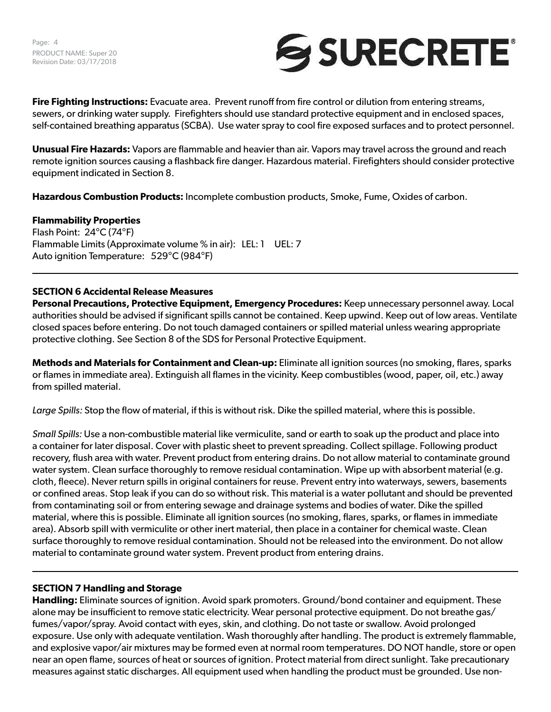

**Fire Fighting Instructions:** Evacuate area. Prevent runoff from fire control or dilution from entering streams, sewers, or drinking water supply. Firefighters should use standard protective equipment and in enclosed spaces, self-contained breathing apparatus (SCBA). Use water spray to cool fire exposed surfaces and to protect personnel.

**Unusual Fire Hazards:** Vapors are flammable and heavier than air. Vapors may travel across the ground and reach remote ignition sources causing a flashback fire danger. Hazardous material. Firefighters should consider protective equipment indicated in Section 8.

**Hazardous Combustion Products:** Incomplete combustion products, Smoke, Fume, Oxides of carbon.

### **Flammability Properties**

Flash Point: 24°C (74°F) Flammable Limits (Approximate volume % in air): LEL: 1 UEL: 7 Auto ignition Temperature: 529°C (984°F)

### **SECTION 6 Accidental Release Measures**

**Personal Precautions, Protective Equipment, Emergency Procedures:** Keep unnecessary personnel away. Local authorities should be advised if significant spills cannot be contained. Keep upwind. Keep out of low areas. Ventilate closed spaces before entering. Do not touch damaged containers or spilled material unless wearing appropriate protective clothing. See Section 8 of the SDS for Personal Protective Equipment.

**Methods and Materials for Containment and Clean-up:** Eliminate all ignition sources (no smoking, flares, sparks or flames in immediate area). Extinguish all flames in the vicinity. Keep combustibles (wood, paper, oil, etc.) away from spilled material.

*Large Spills:* Stop the flow of material, if this is without risk. Dike the spilled material, where this is possible.

*Small Spills:* Use a non-combustible material like vermiculite, sand or earth to soak up the product and place into a container for later disposal. Cover with plastic sheet to prevent spreading. Collect spillage. Following product recovery, flush area with water. Prevent product from entering drains. Do not allow material to contaminate ground water system. Clean surface thoroughly to remove residual contamination. Wipe up with absorbent material (e.g. cloth, fleece). Never return spills in original containers for reuse. Prevent entry into waterways, sewers, basements or confined areas. Stop leak if you can do so without risk. This material is a water pollutant and should be prevented from contaminating soil or from entering sewage and drainage systems and bodies of water. Dike the spilled material, where this is possible. Eliminate all ignition sources (no smoking, flares, sparks, or flames in immediate area). Absorb spill with vermiculite or other inert material, then place in a container for chemical waste. Clean surface thoroughly to remove residual contamination. Should not be released into the environment. Do not allow material to contaminate ground water system. Prevent product from entering drains.

#### **SECTION 7 Handling and Storage**

**Handling:** Eliminate sources of ignition. Avoid spark promoters. Ground/bond container and equipment. These alone may be insufficient to remove static electricity. Wear personal protective equipment. Do not breathe gas/ fumes/vapor/spray. Avoid contact with eyes, skin, and clothing. Do not taste or swallow. Avoid prolonged exposure. Use only with adequate ventilation. Wash thoroughly after handling. The product is extremely flammable, and explosive vapor/air mixtures may be formed even at normal room temperatures. DO NOT handle, store or open near an open flame, sources of heat or sources of ignition. Protect material from direct sunlight. Take precautionary measures against static discharges. All equipment used when handling the product must be grounded. Use non-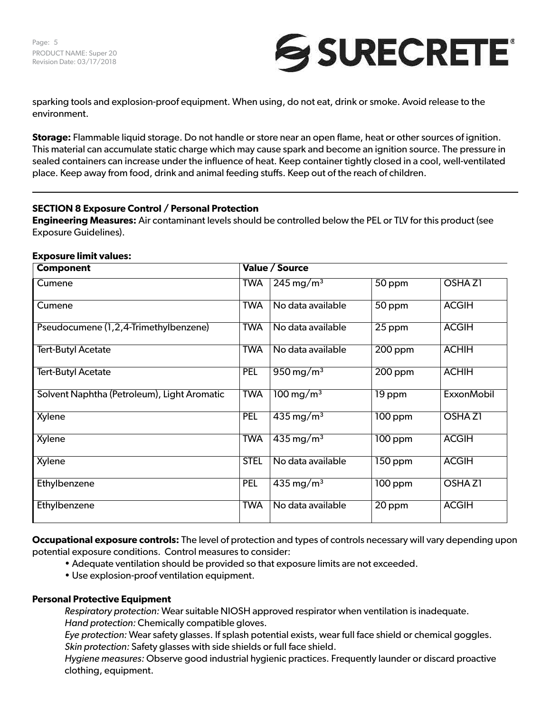

sparking tools and explosion-proof equipment. When using, do not eat, drink or smoke. Avoid release to the environment.

**Storage:** Flammable liquid storage. Do not handle or store near an open flame, heat or other sources of ignition. This material can accumulate static charge which may cause spark and become an ignition source. The pressure in sealed containers can increase under the influence of heat. Keep container tightly closed in a cool, well-ventilated place. Keep away from food, drink and animal feeding stuffs. Keep out of the reach of children.

# **SECTION 8 Exposure Control / Personal Protection**

**Engineering Measures:** Air contaminant levels should be controlled below the PEL or TLV for this product (see Exposure Guidelines).

| <b>Component</b>                            | Value / Source |                         |           |                   |  |
|---------------------------------------------|----------------|-------------------------|-----------|-------------------|--|
| Cumene                                      | <b>TWA</b>     | $245 \,\mathrm{mg/m^3}$ | 50 ppm    | <b>OSHAZI</b>     |  |
| Cumene                                      | <b>TWA</b>     | No data available       | 50 ppm    | <b>ACGIH</b>      |  |
| Pseudocumene (1,2,4-Trimethylbenzene)       | <b>TWA</b>     | No data available       | 25 ppm    | <b>ACGIH</b>      |  |
| <b>Tert-Butyl Acetate</b>                   | <b>TWA</b>     | No data available       | 200 ppm   | <b>ACHIH</b>      |  |
| <b>Tert-Butyl Acetate</b>                   | <b>PEL</b>     | $950 \,\mathrm{mg/m^3}$ | $200$ ppm | <b>ACHIH</b>      |  |
| Solvent Naphtha (Petroleum), Light Aromatic | <b>TWA</b>     | $100 \,\mathrm{mg/m^3}$ | 19 ppm    | <b>ExxonMobil</b> |  |
| Xylene                                      | <b>PEL</b>     | $435 \,\mathrm{mg/m^3}$ | $100$ ppm | <b>OSHAZI</b>     |  |
| Xylene                                      | <b>TWA</b>     | $435 \,\mathrm{mg/m^3}$ | $100$ ppm | <b>ACGIH</b>      |  |
| Xylene                                      | <b>STEL</b>    | No data available       | 150 ppm   | <b>ACGIH</b>      |  |
| Ethylbenzene                                | <b>PEL</b>     | $435 \,\mathrm{mg/m^3}$ | 100 ppm   | <b>OSHAZI</b>     |  |
| Ethylbenzene                                | <b>TWA</b>     | No data available       | 20 ppm    | <b>ACGIH</b>      |  |

#### **Exposure limit values:**

**Occupational exposure controls:** The level of protection and types of controls necessary will vary depending upon potential exposure conditions. Control measures to consider:

- Adequate ventilation should be provided so that exposure limits are not exceeded.
- Use explosion-proof ventilation equipment.

### **Personal Protective Equipment**

*Respiratory protection:* Wear suitable NIOSH approved respirator when ventilation is inadequate. *Hand protection:* Chemically compatible gloves.

*Eye protection:* Wear safety glasses. If splash potential exists, wear full face shield or chemical goggles. *Skin protection:* Safety glasses with side shields or full face shield.

*Hygiene measures:* Observe good industrial hygienic practices. Frequently launder or discard proactive clothing, equipment.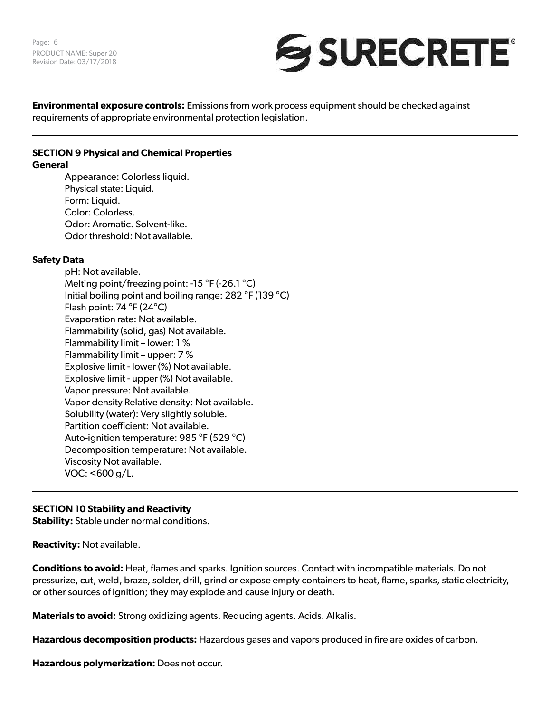

**Environmental exposure controls:** Emissions from work process equipment should be checked against requirements of appropriate environmental protection legislation.

#### **SECTION 9 Physical and Chemical Properties General**

Appearance: Colorless liquid. Physical state: Liquid. Form: Liquid. Color: Colorless. Odor: Aromatic. Solvent-like. Odor threshold: Not available.

# **Safety Data**

pH: Not available. Melting point/freezing point: -15 °F (-26.1 °C) Initial boiling point and boiling range: 282 °F (139 °C) Flash point: 74 °F (24°C) Evaporation rate: Not available. Flammability (solid, gas) Not available. Flammability limit – lower: 1 % Flammability limit – upper: 7 % Explosive limit - lower (%) Not available. Explosive limit - upper (%) Not available. Vapor pressure: Not available. Vapor density Relative density: Not available. Solubility (water): Very slightly soluble. Partition coefficient: Not available. Auto-ignition temperature: 985 °F (529 °C) Decomposition temperature: Not available. Viscosity Not available. VOC: <600 g/L.

# **SECTION 10 Stability and Reactivity**

**Stability:** Stable under normal conditions.

**Reactivity:** Not available.

**Conditions to avoid:** Heat, flames and sparks. Ignition sources. Contact with incompatible materials. Do not pressurize, cut, weld, braze, solder, drill, grind or expose empty containers to heat, flame, sparks, static electricity, or other sources of ignition; they may explode and cause injury or death.

**Materials to avoid:** Strong oxidizing agents. Reducing agents. Acids. Alkalis.

**Hazardous decomposition products:** Hazardous gases and vapors produced in fire are oxides of carbon.

**Hazardous polymerization:** Does not occur.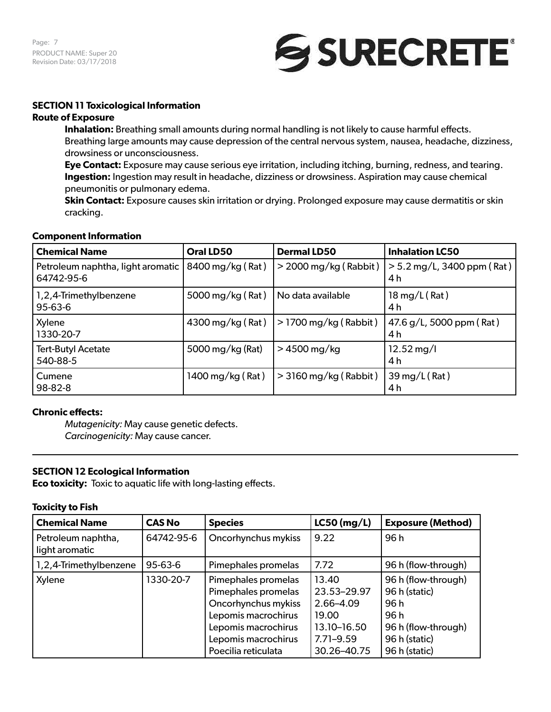Page: 7 PRODUCT NAME: Super 20 Revision Date: 03/17/2018



## **SECTION 11 Toxicological Information**

### **Route of Exposure**

**Inhalation:** Breathing small amounts during normal handling is not likely to cause harmful effects. Breathing large amounts may cause depression of the central nervous system, nausea, headache, dizziness, drowsiness or unconsciousness.

**Eye Contact:** Exposure may cause serious eye irritation, including itching, burning, redness, and tearing. **Ingestion:** Ingestion may result in headache, dizziness or drowsiness. Aspiration may cause chemical pneumonitis or pulmonary edema.

**Skin Contact:** Exposure causes skin irritation or drying. Prolonged exposure may cause dermatitis or skin cracking.

#### **Component Information**

| <b>Chemical Name</b>                                               | Oral LD50        | <b>Dermal LD50</b>      | <b>Inhalation LC50</b>              |
|--------------------------------------------------------------------|------------------|-------------------------|-------------------------------------|
| Petroleum naphtha, light aromatic   8400 mg/kg (Rat)<br>64742-95-6 |                  | $>$ 2000 mg/kg (Rabbit) | $> 5.2$ mg/L, 3400 ppm (Rat)<br>4 h |
| 1,2,4-Trimethylbenzene<br>95-63-6                                  | 5000 mg/kg (Rat) | No data available       | $18 \,\mathrm{mg/L}$ (Rat)<br>4 h   |
| Xylene<br>1330-20-7                                                | 4300 mg/kg (Rat) | $>$ 1700 mg/kg (Rabbit) | 47.6 g/L, 5000 ppm (Rat)<br>4 h     |
| <b>Tert-Butyl Acetate</b><br>540-88-5                              | 5000 mg/kg (Rat) | $>4500$ mg/kg           | $12.52 \,\mathrm{mg}/I$<br>4 h      |
| Cumene<br>98-82-8                                                  | 1400 mg/kg (Rat) | $>$ 3160 mg/kg (Rabbit) | 39 mg/L (Rat)<br>4 h                |

### **Chronic effects:**

*Mutagenicity:* May cause genetic defects. *Carcinogenicity:* May cause cancer.

### **SECTION 12 Ecological Information**

**Eco toxicity:** Toxic to aquatic life with long-lasting effects.

#### **Toxicity to Fish**

| <b>Chemical Name</b>                 | <b>CAS No</b> | <b>Species</b>                                                                                                                                                | $LC50$ (mg/L)                                                                             | <b>Exposure (Method)</b>                                                                                     |
|--------------------------------------|---------------|---------------------------------------------------------------------------------------------------------------------------------------------------------------|-------------------------------------------------------------------------------------------|--------------------------------------------------------------------------------------------------------------|
| Petroleum naphtha,<br>light aromatic | 64742-95-6    | Oncorhynchus mykiss                                                                                                                                           | 9.22                                                                                      | 96h                                                                                                          |
| 1,2,4-Trimethylbenzene               | 95-63-6       | Pimephales promelas                                                                                                                                           | 7.72                                                                                      | 96 h (flow-through)                                                                                          |
| Xylene                               | 1330-20-7     | Pimephales promelas<br>Pimephales promelas<br>Oncorhynchus mykiss<br>Lepomis macrochirus<br>Lepomis macrochirus<br>Lepomis macrochirus<br>Poecilia reticulata | 13.40<br>23.53-29.97<br>2.66-4.09<br>19.00<br>13.10-16.50<br>$7.71 - 9.59$<br>30.26-40.75 | 96 h (flow-through)<br>96 h (static)<br>96h<br>96 h<br>96 h (flow-through)<br>96 h (static)<br>96 h (static) |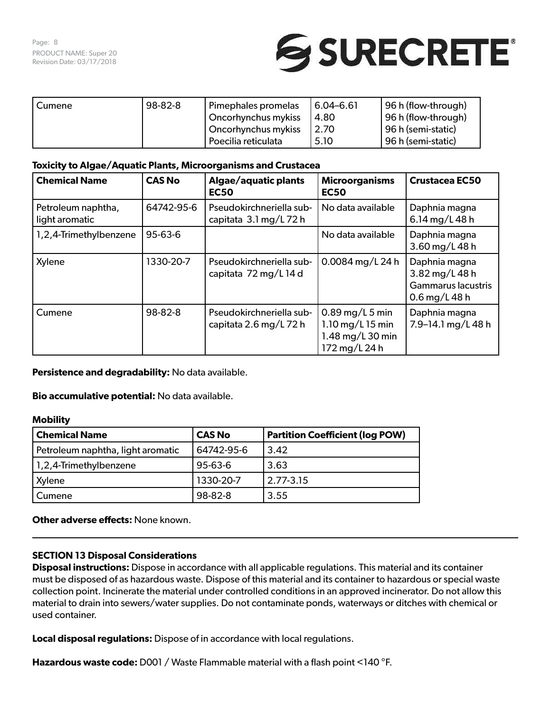

| Cumene | 98-82-8 | Pimephales promelas         | <sup>1</sup> 6.04–6.61 | (96 h (flow-through) |
|--------|---------|-----------------------------|------------------------|----------------------|
|        |         | Oncorhynchus mykiss         | 4.80                   | 96 h (flow-through)  |
|        |         | Oncorhynchus mykiss<br>2.70 |                        | 96 h (semi-static)   |
|        |         | Poecilia reticulata         | 5.10                   | 96 h (semi-static)   |

### **Toxicity to Algae/Aquatic Plants, Microorganisms and Crustacea**

| <b>Chemical Name</b>                 | <b>CAS No</b> | Algae/aquatic plants<br><b>EC50</b>                | <b>Microorganisms</b><br><b>EC50</b>                                         | <b>Crustacea EC50</b>                                                         |
|--------------------------------------|---------------|----------------------------------------------------|------------------------------------------------------------------------------|-------------------------------------------------------------------------------|
| Petroleum naphtha,<br>light aromatic | 64742-95-6    | Pseudokirchneriella sub-<br>capitata 3.1 mg/L 72 h | No data available                                                            | Daphnia magna<br>6.14 mg/L 48 h                                               |
| 1,2,4-Trimethylbenzene               | $95 - 63 - 6$ |                                                    | No data available                                                            | Daphnia magna<br>3.60 mg/L 48 h                                               |
| Xylene                               | 1330-20-7     | Pseudokirchneriella sub-<br>capitata 72 mg/L 14 d  | 0.0084 mg/L 24 h                                                             | Daphnia magna<br>3.82 mg/L 48 h<br><b>Gammarus lacustris</b><br>0.6 mg/L 48 h |
| Cumene                               | 98-82-8       | Pseudokirchneriella sub-<br>capitata 2.6 mg/L 72 h | $0.89$ mg/L 5 min<br>1.10 $mg/L$ 15 min<br>1.48 mg/L 30 min<br>172 mg/L 24 h | Daphnia magna<br>7.9-14.1 $mg/L$ 48 h                                         |

**Persistence and degradability:** No data available.

**Bio accumulative potential:** No data available.

### **Mobility**

| <b>Chemical Name</b>              | <b>CAS No</b> | <b>Partition Coefficient (log POW)</b> |
|-----------------------------------|---------------|----------------------------------------|
| Petroleum naphtha, light aromatic | 64742-95-6    | 3.42                                   |
| 1,2,4-Trimethylbenzene            | $95 - 63 - 6$ | 3.63                                   |
| Xylene                            | 1330-20-7     | 2.77-3.15                              |
| Cumene                            | 98-82-8       | 3.55                                   |

**Other adverse effects: None known.** 

### **SECTION 13 Disposal Considerations**

**Disposal instructions:** Dispose in accordance with all applicable regulations. This material and its container must be disposed of as hazardous waste. Dispose of this material and its container to hazardous or special waste collection point. Incinerate the material under controlled conditions in an approved incinerator. Do not allow this material to drain into sewers/water supplies. Do not contaminate ponds, waterways or ditches with chemical or used container.

**Local disposal regulations:** Dispose of in accordance with local regulations.

**Hazardous waste code:** D001 / Waste Flammable material with a flash point <140 °F.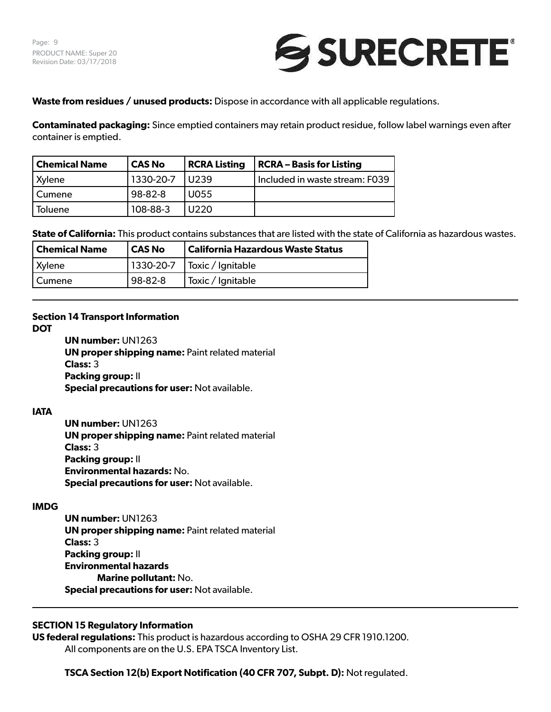

**Waste from residues / unused products:** Dispose in accordance with all applicable regulations.

**Contaminated packaging:** Since emptied containers may retain product residue, follow label warnings even after container is emptied.

| <b>Chemical Name</b> | <b>CAS No</b> | <b>RCRA Listing</b> | <b>RCRA - Basis for Listing</b> |
|----------------------|---------------|---------------------|---------------------------------|
| Xylene               | 1330-20-7     | U239                | Included in waste stream: F039  |
| Cumene               | 98-82-8       | U055                |                                 |
| Toluene              | 108-88-3      | U220                |                                 |

**State of California:** This product contains substances that are listed with the state of California as hazardous wastes.

| <b>Chemical Name</b> | l CAS No | <b>California Hazardous Waste Status</b> |
|----------------------|----------|------------------------------------------|
| Xylene               |          | 1330-20-7   Toxic / Ignitable            |
| Cumene               | 98-82-8  | Toxic / Ignitable                        |

### **Section 14 Transport Information**

**DOT**

**UN number:** UN1263 **UN proper shipping name:** Paint related material **Class:** 3 **Packing group:** II **Special precautions for user:** Not available.

### **IATA**

**UN number:** UN1263 **UN proper shipping name:** Paint related material **Class:** 3 **Packing group:** II **Environmental hazards:** No. **Special precautions for user:** Not available.

### **IMDG**

**UN number:** UN1263 **UN proper shipping name:** Paint related material **Class:** 3 **Packing group:** II **Environmental hazards Marine pollutant:** No. **Special precautions for user:** Not available.

# **SECTION 15 Regulatory Information**

**US federal regulations:** This product is hazardous according to OSHA 29 CFR 1910.1200. All components are on the U.S. EPA TSCA Inventory List.

**TSCA Section 12(b) Export Notification (40 CFR 707, Subpt. D):** Not regulated.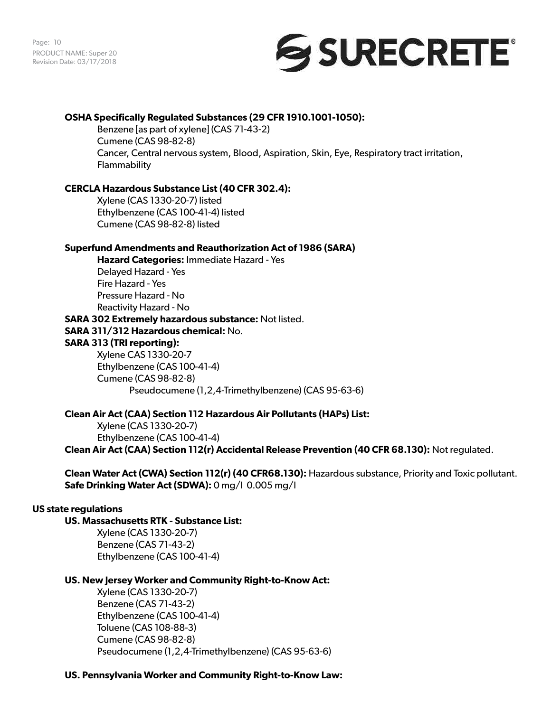Page: 10 PRODUCT NAME: Super 20 Revision Date: 03/17/2018



### **OSHA Specifically Regulated Substances (29 CFR 1910.1001-1050):**

Benzene [as part of xylene] (CAS 71-43-2) Cumene (CAS 98-82-8) Cancer, Central nervous system, Blood, Aspiration, Skin, Eye, Respiratory tract irritation, Flammability

### **CERCLA Hazardous Substance List (40 CFR 302.4):**

Xylene (CAS 1330-20-7) listed Ethylbenzene (CAS 100-41-4) listed Cumene (CAS 98-82-8) listed

### **Superfund Amendments and Reauthorization Act of 1986 (SARA)**

**Hazard Categories:** Immediate Hazard - Yes Delayed Hazard - Yes Fire Hazard - Yes Pressure Hazard - No Reactivity Hazard - No **SARA 302 Extremely hazardous substance:** Not listed. **SARA 311/312 Hazardous chemical:** No. **SARA 313 (TRI reporting):** Xylene CAS 1330-20-7 Ethylbenzene (CAS 100-41-4) Cumene (CAS 98-82-8)

Pseudocumene (1,2,4-Trimethylbenzene) (CAS 95-63-6)

### **Clean Air Act (CAA) Section 112 Hazardous Air Pollutants (HAPs) List:**

Xylene (CAS 1330-20-7) Ethylbenzene (CAS 100-41-4) **Clean Air Act (CAA) Section 112(r) Accidental Release Prevention (40 CFR 68.130):** Not regulated.

**Clean Water Act (CWA) Section 112(r) (40 CFR68.130):** Hazardous substance, Priority and Toxic pollutant. **Safe Drinking Water Act (SDWA):** 0 mg/l 0.005 mg/l

### **US state regulations**

## **US. Massachusetts RTK - Substance List:**

Xylene (CAS 1330-20-7) Benzene (CAS 71-43-2) Ethylbenzene (CAS 100-41-4)

### **US. New Jersey Worker and Community Right-to-Know Act:**

Xylene (CAS 1330-20-7) Benzene (CAS 71-43-2) Ethylbenzene (CAS 100-41-4) Toluene (CAS 108-88-3) Cumene (CAS 98-82-8) Pseudocumene (1,2,4-Trimethylbenzene) (CAS 95-63-6)

### **US. Pennsylvania Worker and Community Right-to-Know Law:**